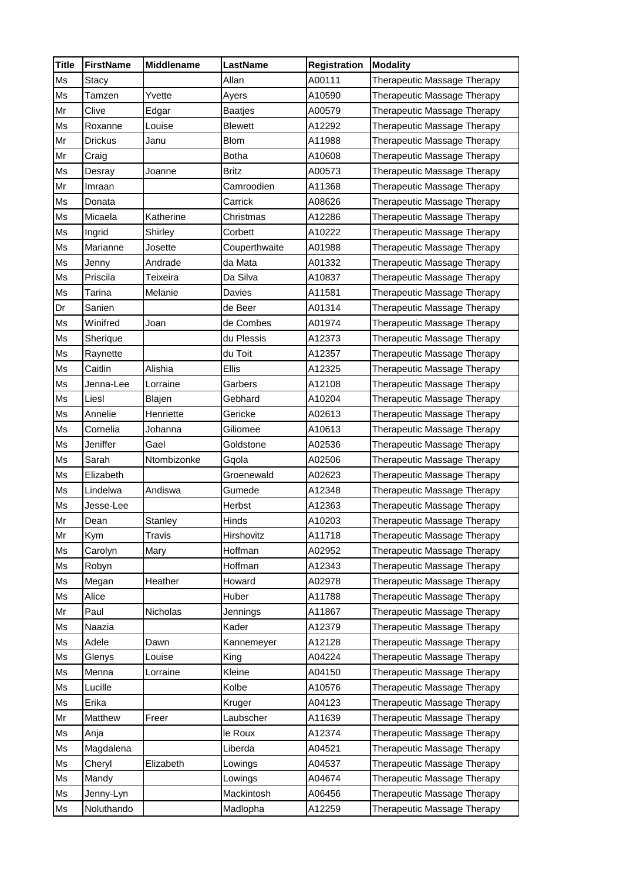| <b>Title</b> | FirstName      | <b>Middlename</b> | LastName       | <b>Registration</b> | <b>Modality</b>             |
|--------------|----------------|-------------------|----------------|---------------------|-----------------------------|
| Ms           | Stacy          |                   | Allan          | A00111              | Therapeutic Massage Therapy |
| Ms           | Tamzen         | Yvette            | Ayers          | A10590              | Therapeutic Massage Therapy |
| Mr           | Clive          | Edgar             | <b>Baatjes</b> | A00579              | Therapeutic Massage Therapy |
| Ms           | Roxanne        | Louise            | <b>Blewett</b> | A12292              | Therapeutic Massage Therapy |
| Mr           | <b>Drickus</b> | Janu              | <b>Blom</b>    | A11988              | Therapeutic Massage Therapy |
| Mr           | Craig          |                   | Botha          | A10608              | Therapeutic Massage Therapy |
| Ms           | Desray         | Joanne            | <b>Britz</b>   | A00573              | Therapeutic Massage Therapy |
| Mr           | Imraan         |                   | Camroodien     | A11368              | Therapeutic Massage Therapy |
| Ms           | Donata         |                   | Carrick        | A08626              | Therapeutic Massage Therapy |
| Ms           | Micaela        | Katherine         | Christmas      | A12286              | Therapeutic Massage Therapy |
| Ms           | Ingrid         | Shirley           | Corbett        | A10222              | Therapeutic Massage Therapy |
| Ms           | Marianne       | Josette           | Couperthwaite  | A01988              | Therapeutic Massage Therapy |
| Ms           | Jenny          | Andrade           | da Mata        | A01332              | Therapeutic Massage Therapy |
| Ms           | Priscila       | Teixeira          | Da Silva       | A10837              | Therapeutic Massage Therapy |
| Ms           | Tarina         | Melanie           | Davies         | A11581              | Therapeutic Massage Therapy |
| Dr           | Sanien         |                   | de Beer        | A01314              | Therapeutic Massage Therapy |
| Ms           | Winifred       | Joan              | de Combes      | A01974              | Therapeutic Massage Therapy |
| Ms           | Sherique       |                   | du Plessis     | A12373              | Therapeutic Massage Therapy |
| Ms           | Raynette       |                   | du Toit        | A12357              | Therapeutic Massage Therapy |
| Ms           | Caitlin        | Alishia           | Ellis          | A12325              | Therapeutic Massage Therapy |
| Ms           | Jenna-Lee      | Lorraine          | Garbers        | A12108              | Therapeutic Massage Therapy |
| Ms           | Liesl          | Blajen            | Gebhard        | A10204              | Therapeutic Massage Therapy |
| Ms           | Annelie        | Henriette         | Gericke        | A02613              | Therapeutic Massage Therapy |
| Ms           | Cornelia       | Johanna           | Giliomee       | A10613              | Therapeutic Massage Therapy |
| Ms           | Jeniffer       | Gael              | Goldstone      | A02536              | Therapeutic Massage Therapy |
| Ms           | Sarah          | Ntombizonke       | Gqola          | A02506              | Therapeutic Massage Therapy |
| Ms           | Elizabeth      |                   | Groenewald     | A02623              | Therapeutic Massage Therapy |
| Ms           | Lindelwa       | Andiswa           | Gumede         | A12348              | Therapeutic Massage Therapy |
| Ms           | Jesse-Lee      |                   | Herbst         | A12363              | Therapeutic Massage Therapy |
| Mr           | Dean           | Stanley           | Hinds          | A10203              | Therapeutic Massage Therapy |
| Mr           | Kym            | <b>Travis</b>     | Hirshovitz     | A11718              | Therapeutic Massage Therapy |
| Ms           | Carolyn        | Mary              | Hoffman        | A02952              | Therapeutic Massage Therapy |
| Ms           | Robyn          |                   | Hoffman        | A12343              | Therapeutic Massage Therapy |
| Ms           | Megan          | Heather           | Howard         | A02978              | Therapeutic Massage Therapy |
| Ms           | Alice          |                   | Huber          | A11788              | Therapeutic Massage Therapy |
| Mr           | Paul           | Nicholas          | Jennings       | A11867              | Therapeutic Massage Therapy |
| Ms           | Naazia         |                   | Kader          | A12379              | Therapeutic Massage Therapy |
| Ms           | Adele          | Dawn              | Kannemeyer     | A12128              | Therapeutic Massage Therapy |
| Ms           | Glenys         | Louise            | King           | A04224              | Therapeutic Massage Therapy |
| Ms           | Menna          | Lorraine          | Kleine         | A04150              | Therapeutic Massage Therapy |
| Ms           | Lucille        |                   | Kolbe          | A10576              | Therapeutic Massage Therapy |
| Ms           | Erika          |                   | Kruger         | A04123              | Therapeutic Massage Therapy |
| Mr           | Matthew        | Freer             | Laubscher      | A11639              | Therapeutic Massage Therapy |
| Ms           | Anja           |                   | le Roux        | A12374              | Therapeutic Massage Therapy |
| Ms           | Magdalena      |                   | Liberda        | A04521              | Therapeutic Massage Therapy |
| Ms           | Cheryl         | Elizabeth         | Lowings        | A04537              | Therapeutic Massage Therapy |
| Ms           | Mandy          |                   | Lowings        | A04674              | Therapeutic Massage Therapy |
| Ms           | Jenny-Lyn      |                   | Mackintosh     | A06456              | Therapeutic Massage Therapy |
| Ms           | Noluthando     |                   | Madlopha       | A12259              | Therapeutic Massage Therapy |